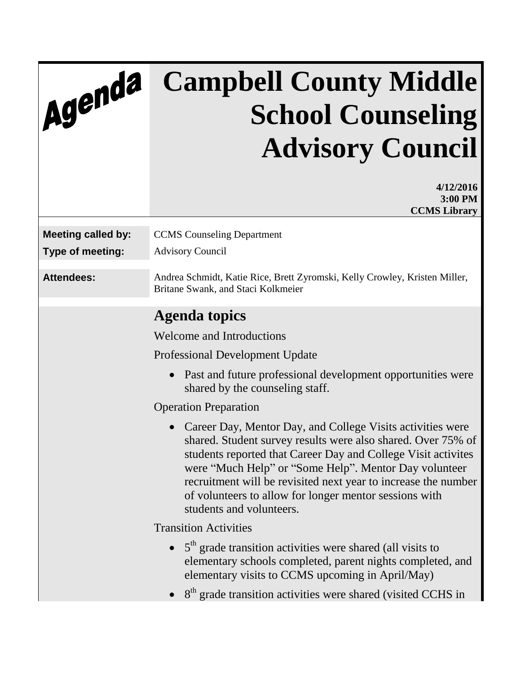## Agenda

## **Campbell County Middle School Counseling Advisory Council**

| 4/12/2016<br>3:00 PM                                                                                                                                                                                                                                                                                                                                                                                                      |  |
|---------------------------------------------------------------------------------------------------------------------------------------------------------------------------------------------------------------------------------------------------------------------------------------------------------------------------------------------------------------------------------------------------------------------------|--|
| <b>CCMS</b> Library                                                                                                                                                                                                                                                                                                                                                                                                       |  |
| <b>CCMS</b> Counseling Department<br><b>Advisory Council</b>                                                                                                                                                                                                                                                                                                                                                              |  |
| Andrea Schmidt, Katie Rice, Brett Zyromski, Kelly Crowley, Kristen Miller,<br>Britane Swank, and Staci Kolkmeier                                                                                                                                                                                                                                                                                                          |  |
| <b>Agenda topics</b>                                                                                                                                                                                                                                                                                                                                                                                                      |  |
| <b>Welcome and Introductions</b>                                                                                                                                                                                                                                                                                                                                                                                          |  |
| <b>Professional Development Update</b>                                                                                                                                                                                                                                                                                                                                                                                    |  |
| Past and future professional development opportunities were<br>$\bullet$<br>shared by the counseling staff.                                                                                                                                                                                                                                                                                                               |  |
| <b>Operation Preparation</b>                                                                                                                                                                                                                                                                                                                                                                                              |  |
| Career Day, Mentor Day, and College Visits activities were<br>$\bullet$<br>shared. Student survey results were also shared. Over 75% of<br>students reported that Career Day and College Visit activites<br>were "Much Help" or "Some Help". Mentor Day volunteer<br>recruitment will be revisited next year to increase the number<br>of volunteers to allow for longer mentor sessions with<br>students and volunteers. |  |
| <b>Transition Activities</b>                                                                                                                                                                                                                                                                                                                                                                                              |  |
| $5th$ grade transition activities were shared (all visits to<br>$\bullet$<br>elementary schools completed, parent nights completed, and<br>elementary visits to CCMS upcoming in April/May)                                                                                                                                                                                                                               |  |
| 8 <sup>th</sup> grade transition activities were shared (visited CCHS in                                                                                                                                                                                                                                                                                                                                                  |  |
|                                                                                                                                                                                                                                                                                                                                                                                                                           |  |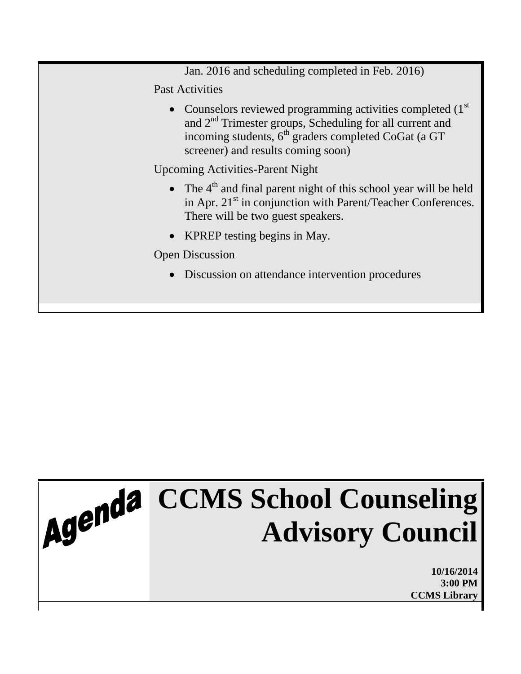Jan. 2016 and scheduling completed in Feb. 2016)

Past Activities

• Counselors reviewed programming activities completed  $(1<sup>st</sup>)$ and 2nd Trimester groups, Scheduling for all current and incoming students, 6<sup>th</sup> graders completed CoGat (a GT screener) and results coming soon)

Upcoming Activities-Parent Night

- $\bullet$  The  $4<sup>th</sup>$  and final parent night of this school year will be held in Apr.  $21<sup>st</sup>$  in conjunction with Parent/Teacher Conferences. There will be two guest speakers.
- KPREP testing begins in May.

Open Discussion

Discussion on attendance intervention procedures

## **CCMS School Counseling Advisory Council**

**10/16/2014 3:00 PM CCMS Library**